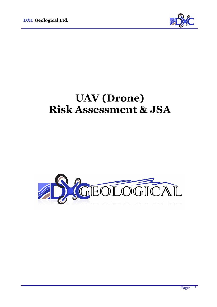

## **UAV (Drone) Risk Assessment & JSA**

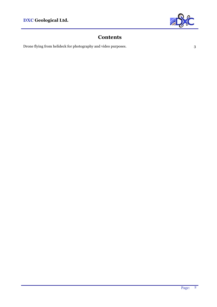

## **Contents**

Drone flying from helideck for photography and video purposes.  $3$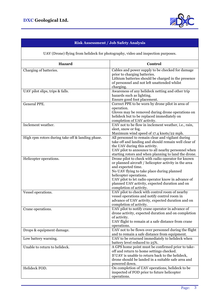

## **Risk Assessment / Job Safety Analysis**

| UAV (Drone) flying from helideck for photography, video and inspection purposes. |                                                                                                                                                                                                                                                                                                                                              |
|----------------------------------------------------------------------------------|----------------------------------------------------------------------------------------------------------------------------------------------------------------------------------------------------------------------------------------------------------------------------------------------------------------------------------------------|
| Hazard                                                                           | Control                                                                                                                                                                                                                                                                                                                                      |
| Charging of batteries.                                                           | Cables and power supply to be checked for damage<br>prior to charging batteries.<br>Lithium batteries should be charged in the presence<br>of personnel and not left unattended whilst<br>charging.                                                                                                                                          |
| UAV pilot slips, trips & falls.                                                  | Awareness of any helideck netting and other trip<br>hazards such as lighting.<br>Ensure good foot placement.                                                                                                                                                                                                                                 |
| <b>General PPE.</b>                                                              | Correct PPE to be worn by drone pilot in area of<br>operation.<br>Gloves may be removed during drone operations on<br>helideck but to be replaced immediately on<br>completion of UAV activity.                                                                                                                                              |
| Inclement weather.                                                               | UAV not to be flow in inclement weather, i.e., rain,<br>sleet, snow or fog.<br>Maximum wind speed of 17.4 knots/22 mph.                                                                                                                                                                                                                      |
| High rpm rotors during take off & landing phase.                                 | All personnel to remain clear and vigilant during<br>take off and landing and should remain well clear of<br>the UAV during this activity.<br>UAV pilot to announce to all nearby personnel when<br>starting rotors and when planning to land the drone.                                                                                     |
| Helicopter operations.                                                           | Drone pilot to check with radio operator for known<br>or planned aircraft / helicopter activity in the area<br>and expected time.<br>No UAV flying to take place during planned<br>helicopter operations.<br>UAV pilot to let radio operator know in advance of<br>planned UAV activity, expected duration and on<br>completion of activity. |
| Vessel operations.                                                               | UAV pilot to check with control room of nearby<br>vessel operations and notify control room in<br>advance of UAV activity, expected duration and on<br>completion of activity.                                                                                                                                                               |
| Crane operations.                                                                | UAV pilot to notify crane operator in advance of<br>drone activity, expected duration and on completion<br>of activity.<br>UAV flight to remain at a safe distance from crane<br>operations.                                                                                                                                                 |
| Drops & equipment damage.                                                        | UAV not to be flown over personnel during the flight<br>and to remain a safe distance from equipment.                                                                                                                                                                                                                                        |
| Low battery warning.                                                             | UAV to be returned immediately to helideck when<br>battery level reduced to 25%.                                                                                                                                                                                                                                                             |
| Unable to return to helideck.                                                    | A GPS home point must be confirmed prior to take-<br>off and return to home settings checked.<br>If UAV is unable to return back to the helideck,<br>drone should be landed in a suitable safe area and<br>powered down.                                                                                                                     |
| Helideck FOD.                                                                    | On completion of UAV operations, helideck to be<br>inspected of FOD prior to future helicopter<br>operations.                                                                                                                                                                                                                                |